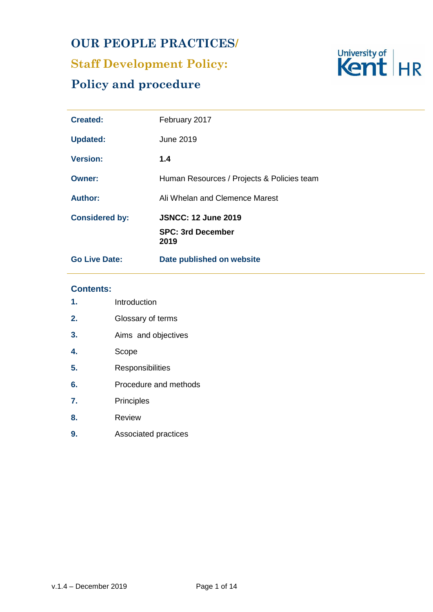## **OUR PEOPLE PRACTICES/**

# **Staff Development Policy:**

## **Policy and procedure**



| <b>Created:</b>       | February 2017                              |
|-----------------------|--------------------------------------------|
| <b>Updated:</b>       | June 2019                                  |
| <b>Version:</b>       | 1.4                                        |
| <b>Owner:</b>         | Human Resources / Projects & Policies team |
| <b>Author:</b>        | Ali Whelan and Clemence Marest             |
| <b>Considered by:</b> | <b>JSNCC: 12 June 2019</b>                 |
|                       | <b>SPC: 3rd December</b><br>2019           |
| <b>Go Live Date:</b>  | Date published on website                  |

## **Contents:**

| 1. | Introduction          |  |
|----|-----------------------|--|
| 2. | Glossary of terms     |  |
| 3. | Aims and objectives   |  |
| 4. | Scope                 |  |
| 5. | Responsibilities      |  |
| 6. | Procedure and methods |  |
| 7. | Principles            |  |
| 8. | Review                |  |
| 9. | Associated practices  |  |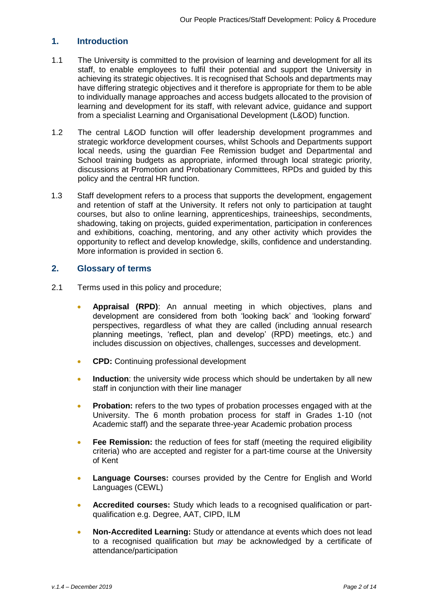## **1. Introduction**

- 1.1 The University is committed to the provision of learning and development for all its staff, to enable employees to fulfil their potential and support the University in achieving its strategic objectives. It is recognised that Schools and departments may have differing strategic objectives and it therefore is appropriate for them to be able to individually manage approaches and access budgets allocated to the provision of learning and development for its staff, with relevant advice, guidance and support from a specialist Learning and Organisational Development (L&OD) function.
- 1.2 The central L&OD function will offer leadership development programmes and strategic workforce development courses, whilst Schools and Departments support local needs, using the guardian Fee Remission budget and Departmental and School training budgets as appropriate, informed through local strategic priority, discussions at Promotion and Probationary Committees, RPDs and guided by this policy and the central HR function.
- 1.3 Staff development refers to a process that supports the development, engagement and retention of staff at the University. It refers not only to participation at taught courses, but also to online learning, apprenticeships, traineeships, secondments, shadowing, taking on projects, guided experimentation, participation in conferences and exhibitions, coaching, mentoring, and any other activity which provides the opportunity to reflect and develop knowledge, skills, confidence and understanding. More information is provided in section 6.

#### **2. Glossary of terms**

- 2.1 Terms used in this policy and procedure;
	- **Appraisal (RPD)**: An annual meeting in which objectives, plans and development are considered from both 'looking back' and 'looking forward' perspectives, regardless of what they are called (including annual research planning meetings, 'reflect, plan and develop' (RPD) meetings, etc.) and includes discussion on objectives, challenges, successes and development.
	- **CPD:** Continuing professional development
	- **Induction**: the university wide process which should be undertaken by all new staff in conjunction with their line manager
	- **Probation:** refers to the two types of probation processes engaged with at the University. The 6 month probation process for staff in Grades 1-10 (not Academic staff) and the separate three-year Academic probation process
	- **Fee Remission:** the reduction of fees for staff (meeting the required eligibility criteria) who are accepted and register for a part-time course at the University of Kent
	- **Language Courses:** courses provided by the Centre for English and World Languages (CEWL)
	- **Accredited courses:** Study which leads to a recognised qualification or partqualification e.g. Degree, AAT, CIPD, ILM
	- **Non-Accredited Learning:** Study or attendance at events which does not lead to a recognised qualification but *may* be acknowledged by a certificate of attendance/participation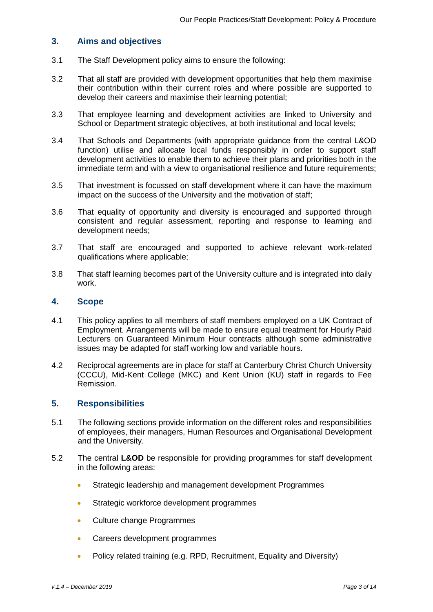#### **3. Aims and objectives**

- 3.1 The Staff Development policy aims to ensure the following:
- 3.2 That all staff are provided with development opportunities that help them maximise their contribution within their current roles and where possible are supported to develop their careers and maximise their learning potential;
- 3.3 That employee learning and development activities are linked to University and School or Department strategic objectives, at both institutional and local levels;
- 3.4 That Schools and Departments (with appropriate guidance from the central L&OD function) utilise and allocate local funds responsibly in order to support staff development activities to enable them to achieve their plans and priorities both in the immediate term and with a view to organisational resilience and future requirements;
- 3.5 That investment is focussed on staff development where it can have the maximum impact on the success of the University and the motivation of staff;
- 3.6 That equality of opportunity and diversity is encouraged and supported through consistent and regular assessment, reporting and response to learning and development needs;
- 3.7 That staff are encouraged and supported to achieve relevant work-related qualifications where applicable;
- 3.8 That staff learning becomes part of the University culture and is integrated into daily work.

#### **4. Scope**

- 4.1 This policy applies to all members of staff members employed on a UK Contract of Employment. Arrangements will be made to ensure equal treatment for Hourly Paid Lecturers on Guaranteed Minimum Hour contracts although some administrative issues may be adapted for staff working low and variable hours.
- 4.2 Reciprocal agreements are in place for staff at Canterbury Christ Church University (CCCU), Mid-Kent College (MKC) and Kent Union (KU) staff in regards to Fee Remission.

## **5. Responsibilities**

- 5.1 The following sections provide information on the different roles and responsibilities of employees, their managers, Human Resources and Organisational Development and the University.
- 5.2 The central **L&OD** be responsible for providing programmes for staff development in the following areas:
	- **Strategic leadership and management development Programmes**
	- **Strategic workforce development programmes**
	- Culture change Programmes
	- Careers development programmes
	- Policy related training (e.g. RPD, Recruitment, Equality and Diversity)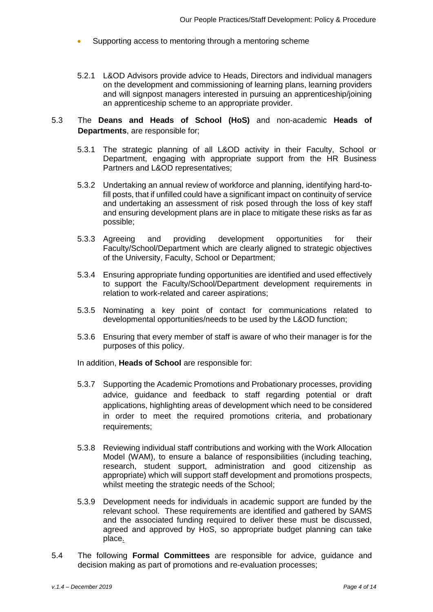- Supporting access to mentoring through a mentoring scheme
- 5.2.1 L&OD Advisors provide advice to Heads, Directors and individual managers on the development and commissioning of learning plans, learning providers and will signpost managers interested in pursuing an apprenticeship/joining an apprenticeship scheme to an appropriate provider.
- 5.3 The **Deans and Heads of School (HoS)** and non-academic **Heads of Departments**, are responsible for;
	- 5.3.1 The strategic planning of all L&OD activity in their Faculty, School or Department, engaging with appropriate support from the HR Business Partners and L&OD representatives;
	- 5.3.2 Undertaking an annual review of workforce and planning, identifying hard-tofill posts, that if unfilled could have a significant impact on continuity of service and undertaking an assessment of risk posed through the loss of key staff and ensuring development plans are in place to mitigate these risks as far as possible;
	- 5.3.3 Agreeing and providing development opportunities for their Faculty/School/Department which are clearly aligned to strategic objectives of the University, Faculty, School or Department;
	- 5.3.4 Ensuring appropriate funding opportunities are identified and used effectively to support the Faculty/School/Department development requirements in relation to work-related and career aspirations;
	- 5.3.5 Nominating a key point of contact for communications related to developmental opportunities/needs to be used by the L&OD function;
	- 5.3.6 Ensuring that every member of staff is aware of who their manager is for the purposes of this policy.

In addition, **Heads of School** are responsible for:

- 5.3.7 Supporting the Academic Promotions and Probationary processes, providing advice, guidance and feedback to staff regarding potential or draft applications, highlighting areas of development which need to be considered in order to meet the required promotions criteria, and probationary requirements;
- 5.3.8 Reviewing individual staff contributions and working with the Work Allocation Model (WAM), to ensure a balance of responsibilities (including teaching, research, student support, administration and good citizenship as appropriate) which will support staff development and promotions prospects, whilst meeting the strategic needs of the School;
- 5.3.9 Development needs for individuals in academic support are funded by the relevant school. These requirements are identified and gathered by SAMS and the associated funding required to deliver these must be discussed, agreed and approved by HoS, so appropriate budget planning can take place.
- 5.4 The following **Formal Committees** are responsible for advice, guidance and decision making as part of promotions and re-evaluation processes;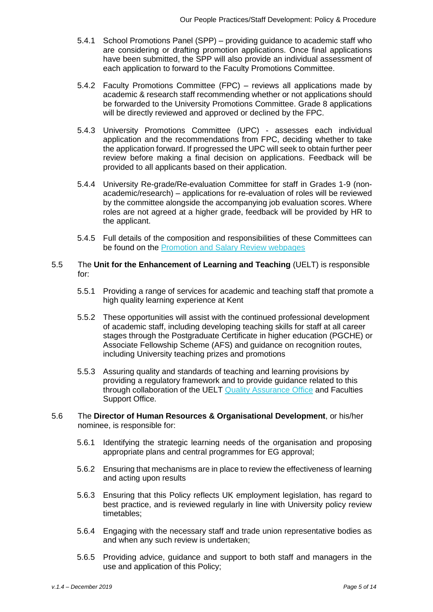- 5.4.1 School Promotions Panel (SPP) providing guidance to academic staff who are considering or drafting promotion applications. Once final applications have been submitted, the SPP will also provide an individual assessment of each application to forward to the Faculty Promotions Committee.
- 5.4.2 Faculty Promotions Committee (FPC) reviews all applications made by academic & research staff recommending whether or not applications should be forwarded to the University Promotions Committee. Grade 8 applications will be directly reviewed and approved or declined by the FPC.
- 5.4.3 University Promotions Committee (UPC) assesses each individual application and the recommendations from FPC, deciding whether to take the application forward. If progressed the UPC will seek to obtain further peer review before making a final decision on applications. Feedback will be provided to all applicants based on their application.
- 5.4.4 University Re-grade/Re-evaluation Committee for staff in Grades 1-9 (nonacademic/research) – applications for re-evaluation of roles will be reviewed by the committee alongside the accompanying job evaluation scores. Where roles are not agreed at a higher grade, feedback will be provided by HR to the applicant.
- 5.4.5 Full details of the composition and responsibilities of these Committees can be found on the [Promotion and Salary Review webpages](https://www.kent.ac.uk/hr-staffinformation/promotion-salary-awards/index.html?tab=grades-1-to-10-job-grade-review)
- 5.5 The **Unit for the Enhancement of Learning and Teaching** (UELT) is responsible for:
	- 5.5.1 Providing a range of services for academic and teaching staff that promote a high quality learning experience at Kent
	- 5.5.2 These opportunities will assist with the continued professional development of academic staff, including developing teaching skills for staff at all career stages through the Postgraduate Certificate in higher education (PGCHE) or Associate Fellowship Scheme (AFS) and guidance on recognition routes, including University teaching prizes and promotions
	- 5.5.3 Assuring quality and standards of teaching and learning provisions by providing a regulatory framework and to provide guidance related to this through collaboration of the UELT [Quality Assurance Office](https://www.kent.ac.uk/uelt/about/quality.html) and Faculties Support Office.
- 5.6 The **Director of Human Resources & Organisational Development**, or his/her nominee, is responsible for:
	- 5.6.1 Identifying the strategic learning needs of the organisation and proposing appropriate plans and central programmes for EG approval;
	- 5.6.2 Ensuring that mechanisms are in place to review the effectiveness of learning and acting upon results
	- 5.6.3 Ensuring that this Policy reflects UK employment legislation, has regard to best practice, and is reviewed regularly in line with University policy review timetables;
	- 5.6.4 Engaging with the necessary staff and trade union representative bodies as and when any such review is undertaken;
	- 5.6.5 Providing advice, guidance and support to both staff and managers in the use and application of this Policy;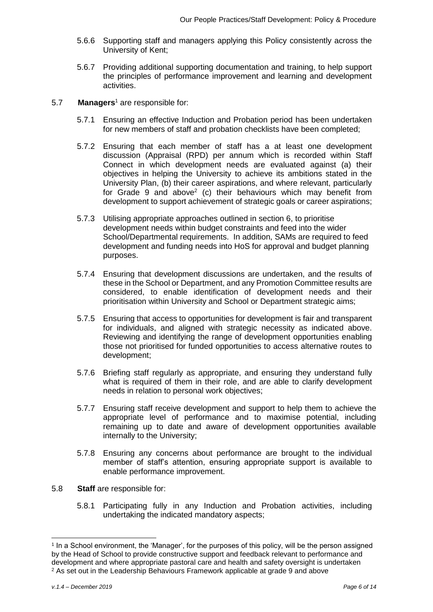- 5.6.6 Supporting staff and managers applying this Policy consistently across the University of Kent;
- 5.6.7 Providing additional supporting documentation and training, to help support the principles of performance improvement and learning and development activities.
- 5.7 **Managers**<sup>1</sup> are responsible for:
	- 5.7.1 Ensuring an effective Induction and Probation period has been undertaken for new members of staff and probation checklists have been completed;
	- 5.7.2 Ensuring that each member of staff has a at least one development discussion (Appraisal (RPD) per annum which is recorded within Staff Connect in which development needs are evaluated against (a) their objectives in helping the University to achieve its ambitions stated in the University Plan, (b) their career aspirations, and where relevant, particularly for Grade 9 and above<sup>2</sup> (c) their behaviours which may benefit from development to support achievement of strategic goals or career aspirations;
	- 5.7.3 Utilising appropriate approaches outlined in section 6, to prioritise development needs within budget constraints and feed into the wider School/Departmental requirements. In addition, SAMs are required to feed development and funding needs into HoS for approval and budget planning purposes.
	- 5.7.4 Ensuring that development discussions are undertaken, and the results of these in the School or Department, and any Promotion Committee results are considered, to enable identification of development needs and their prioritisation within University and School or Department strategic aims;
	- 5.7.5 Ensuring that access to opportunities for development is fair and transparent for individuals, and aligned with strategic necessity as indicated above. Reviewing and identifying the range of development opportunities enabling those not prioritised for funded opportunities to access alternative routes to development;
	- 5.7.6 Briefing staff regularly as appropriate, and ensuring they understand fully what is required of them in their role, and are able to clarify development needs in relation to personal work objectives;
	- 5.7.7 Ensuring staff receive development and support to help them to achieve the appropriate level of performance and to maximise potential, including remaining up to date and aware of development opportunities available internally to the University;
	- 5.7.8 Ensuring any concerns about performance are brought to the individual member of staff's attention, ensuring appropriate support is available to enable performance improvement.
- 5.8 **Staff** are responsible for:
	- 5.8.1 Participating fully in any Induction and Probation activities, including undertaking the indicated mandatory aspects;

<sup>1</sup> In a School environment, the 'Manager', for the purposes of this policy, will be the person assigned by the Head of School to provide constructive support and feedback relevant to performance and development and where appropriate pastoral care and health and safety oversight is undertaken <sup>2</sup> As set out in the Leadership Behaviours Framework applicable at grade 9 and above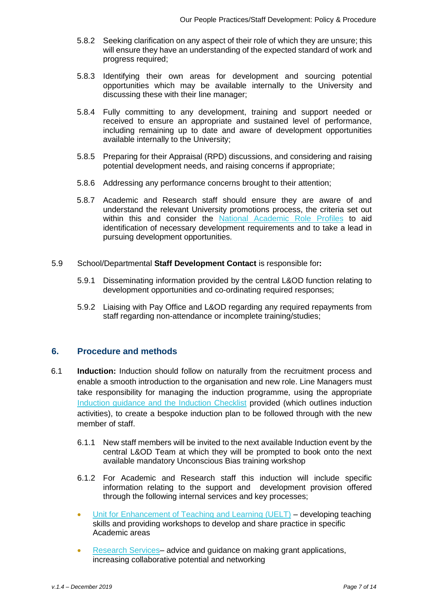- 5.8.2 Seeking clarification on any aspect of their role of which they are unsure; this will ensure they have an understanding of the expected standard of work and progress required;
- 5.8.3 Identifying their own areas for development and sourcing potential opportunities which may be available internally to the University and discussing these with their line manager;
- 5.8.4 Fully committing to any development, training and support needed or received to ensure an appropriate and sustained level of performance, including remaining up to date and aware of development opportunities available internally to the University;
- 5.8.5 Preparing for their Appraisal (RPD) discussions, and considering and raising potential development needs, and raising concerns if appropriate;
- 5.8.6 Addressing any performance concerns brought to their attention;
- 5.8.7 Academic and Research staff should ensure they are aware of and understand the relevant University promotions process, the criteria set out within this and consider the [National Academic Role Profiles](https://www.kent.ac.uk/hr-managementinformation/job%20evaluation/job-evaluation.html?tab=national-role-profiles) to aid identification of necessary development requirements and to take a lead in pursuing development opportunities.
- 5.9 School/Departmental **Staff Development Contact** is responsible for**:**
	- 5.9.1 Disseminating information provided by the central L&OD function relating to development opportunities and co-ordinating required responses;
	- 5.9.2 Liaising with Pay Office and L&OD regarding any required repayments from staff regarding non-attendance or incomplete training/studies;

## **6. Procedure and methods**

- 6.1 **Induction:** Induction should follow on naturally from the recruitment process and enable a smooth introduction to the organisation and new role. Line Managers must take responsibility for managing the induction programme, using the appropriate [Induction guidance and the Induction Checklist](https://www.kent.ac.uk/hr-managementinformation/induction.html) provided (which outlines induction activities), to create a bespoke induction plan to be followed through with the new member of staff.
	- 6.1.1 New staff members will be invited to the next available Induction event by the central L&OD Team at which they will be prompted to book onto the next available mandatory Unconscious Bias training workshop
	- 6.1.2 For Academic and Research staff this induction will include specific information relating to the support and development provision offered through the following internal services and key processes;
	- [Unit for Enhancement of Teaching and Learning \(UELT\)](https://www.kent.ac.uk/uelt/) developing teaching skills and providing workshops to develop and share practice in specific Academic areas
	- [Research Services–](https://www.kent.ac.uk/researchservices/) advice and guidance on making grant applications, increasing collaborative potential and networking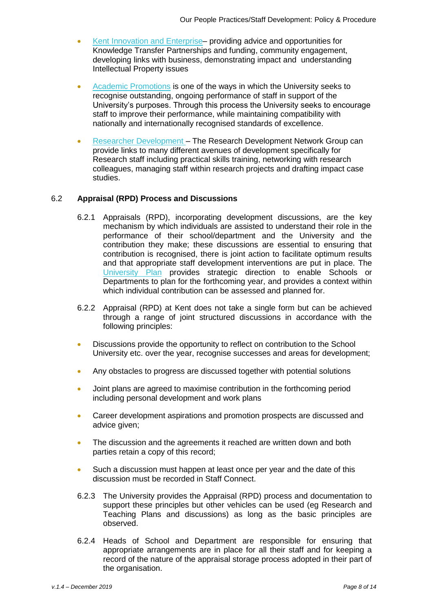- [Kent Innovation and Enterprise–](https://www.kent.ac.uk/enterprise/) providing advice and opportunities for Knowledge Transfer Partnerships and funding, community engagement, developing links with business, demonstrating impact and understanding Intellectual Property issues
- [Academic Promotions](https://www.kent.ac.uk/hr-staffinformation/promotion-salary-awards/index.html?tab=grades-1-to-10-job-grade-review) is one of the ways in which the University seeks to recognise outstanding, ongoing performance of staff in support of the University's purposes. Through this process the University seeks to encourage staff to improve their performance, while maintaining compatibility with nationally and internationally recognised standards of excellence.
- [Researcher Development –](https://www.kent.ac.uk/researcherdevelopment/) The Research Development Network Group can provide links to many different avenues of development specifically for Research staff including practical skills training, networking with research colleagues, managing staff within research projects and drafting impact case studies.

#### 6.2 **Appraisal (RPD) Process and Discussions**

- 6.2.1 Appraisals (RPD), incorporating development discussions, are the key mechanism by which individuals are assisted to understand their role in the performance of their school/department and the University and the contribution they make; these discussions are essential to ensuring that contribution is recognised, there is joint action to facilitate optimum results and that appropriate staff development interventions are put in place. The [University Plan](https://www.kent.ac.uk/about/plan/index.html) provides strategic direction to enable Schools or Departments to plan for the forthcoming year, and provides a context within which individual contribution can be assessed and planned for.
- 6.2.2 Appraisal (RPD) at Kent does not take a single form but can be achieved through a range of joint structured discussions in accordance with the following principles:
- Discussions provide the opportunity to reflect on contribution to the School University etc. over the year, recognise successes and areas for development;
- Any obstacles to progress are discussed together with potential solutions
- Joint plans are agreed to maximise contribution in the forthcoming period including personal development and work plans
- Career development aspirations and promotion prospects are discussed and advice given;
- The discussion and the agreements it reached are written down and both parties retain a copy of this record;
- Such a discussion must happen at least once per year and the date of this discussion must be recorded in Staff Connect.
- 6.2.3 The University provides the Appraisal (RPD) process and documentation to support these principles but other vehicles can be used (eg Research and Teaching Plans and discussions) as long as the basic principles are observed.
- 6.2.4 Heads of School and Department are responsible for ensuring that appropriate arrangements are in place for all their staff and for keeping a record of the nature of the appraisal storage process adopted in their part of the organisation.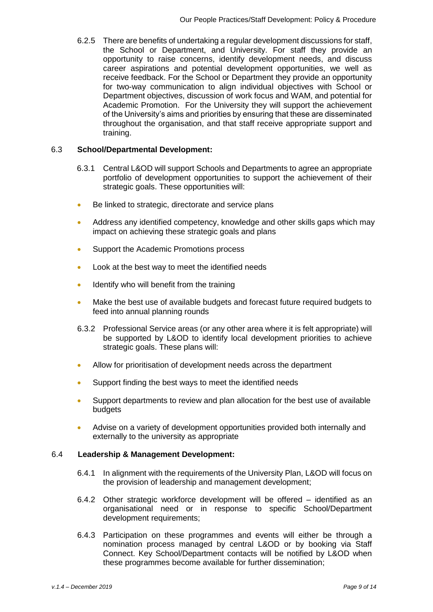6.2.5 There are benefits of undertaking a regular development discussions for staff, the School or Department, and University. For staff they provide an opportunity to raise concerns, identify development needs, and discuss career aspirations and potential development opportunities, we well as receive feedback. For the School or Department they provide an opportunity for two-way communication to align individual objectives with School or Department objectives, discussion of work focus and WAM, and potential for Academic Promotion. For the University they will support the achievement of the University's aims and priorities by ensuring that these are disseminated throughout the organisation, and that staff receive appropriate support and training.

#### 6.3 **School/Departmental Development:**

- 6.3.1 Central L&OD will support Schools and Departments to agree an appropriate portfolio of development opportunities to support the achievement of their strategic goals. These opportunities will:
- Be linked to strategic, directorate and service plans
- Address any identified competency, knowledge and other skills gaps which may impact on achieving these strategic goals and plans
- Support the Academic Promotions process
- Look at the best way to meet the identified needs
- **IDENTIFY WHO WILL DETECT FOR THE TRAINING**
- Make the best use of available budgets and forecast future required budgets to feed into annual planning rounds
- 6.3.2 Professional Service areas (or any other area where it is felt appropriate) will be supported by L&OD to identify local development priorities to achieve strategic goals. These plans will:
- Allow for prioritisation of development needs across the department
- Support finding the best ways to meet the identified needs
- Support departments to review and plan allocation for the best use of available budgets
- Advise on a variety of development opportunities provided both internally and externally to the university as appropriate

#### 6.4 **Leadership & Management Development:**

- 6.4.1 In alignment with the requirements of the University Plan, L&OD will focus on the provision of leadership and management development;
- 6.4.2 Other strategic workforce development will be offered identified as an organisational need or in response to specific School/Department development requirements;
- 6.4.3 Participation on these programmes and events will either be through a nomination process managed by central L&OD or by booking via Staff Connect. Key School/Department contacts will be notified by L&OD when these programmes become available for further dissemination;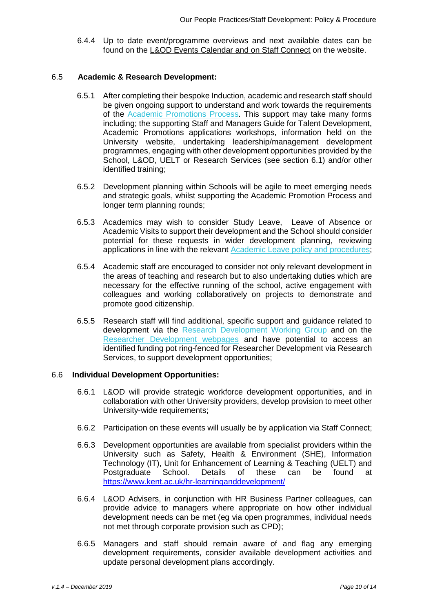6.4.4 Up to date event/programme overviews and next available dates can be found on the [L&OD Events Calendar](file://///gromit/human%20resources/Learning%20and%20Development/Learning%20and%20Development%20New/New%20-Learning%20and%20Development%202016/CPD/Policy,%20Guides%20and%20Forms/Policy%20Draft%20Work%202016/Current%20Draft%20policy%20Feb%202017/L&OD%20Events%20Calendar) and on Staff Connect on the website.

#### 6.5 **Academic & Research Development:**

- 6.5.1 After completing their bespoke Induction, academic and research staff should be given ongoing support to understand and work towards the requirements of the [Academic Promotions Process.](https://www.kent.ac.uk/hr-staffinformation/promotion-salary-awards/index.html?tab=grades-1-to-10-job-grade-review) This support may take many forms including; the supporting Staff and Managers Guide for Talent Development, Academic Promotions applications workshops, information held on the University website, undertaking leadership/management development programmes, engaging with other development opportunities provided by the School, L&OD, UELT or Research Services (see section 6.1) and/or other identified training;
- 6.5.2 Development planning within Schools will be agile to meet emerging needs and strategic goals, whilst supporting the Academic Promotion Process and longer term planning rounds;
- 6.5.3 Academics may wish to consider Study Leave, Leave of Absence or Academic Visits to support their development and the School should consider potential for these requests in wider development planning, reviewing applications in line with the relevant [Academic Leave policy and procedures;](https://www.kent.ac.uk/hr-staffinformation/policies/acadabsence.html)
- 6.5.4 Academic staff are encouraged to consider not only relevant development in the areas of teaching and research but to also undertaking duties which are necessary for the effective running of the school, active engagement with colleagues and working collaboratively on projects to demonstrate and promote good citizenship.
- 6.5.5 Research staff will find additional, specific support and guidance related to development via the [Research Development Working Group](https://www.kent.ac.uk/hr-learninganddevelopment/documents/researcher/researcherdevelopmentwgroup.html) and on the [Researcher Development webpages](https://www.kent.ac.uk/researcherdevelopment/) and have potential to access an identified funding pot ring-fenced for Researcher Development via Research Services, to support development opportunities;

#### 6.6 **Individual Development Opportunities:**

- 6.6.1 L&OD will provide strategic workforce development opportunities, and in collaboration with other University providers, develop provision to meet other University-wide requirements;
- 6.6.2 Participation on these events will usually be by application via Staff Connect;
- 6.6.3 Development opportunities are available from specialist providers within the University such as Safety, Health & Environment (SHE), Information Technology (IT), Unit for Enhancement of Learning & Teaching (UELT) and Postgraduate School. Details of these can be found at https://www.kent.ac.uk/hr-learninganddevelopment/
- 6.6.4 L&OD Advisers, in conjunction with HR Business Partner colleagues, can provide advice to managers where appropriate on how other individual development needs can be met (eg via open programmes, individual needs not met through corporate provision such as CPD);
- 6.6.5 Managers and staff should remain aware of and flag any emerging development requirements, consider available development activities and update personal development plans accordingly.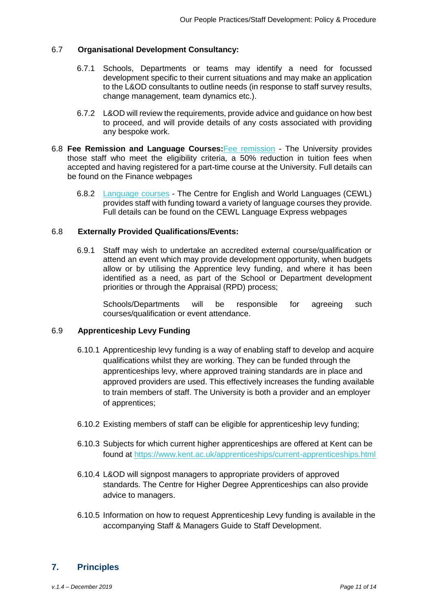#### 6.7 **Organisational Development Consultancy:**

- 6.7.1 Schools, Departments or teams may identify a need for focussed development specific to their current situations and may make an application to the L&OD consultants to outline needs (in response to staff survey results, change management, team dynamics etc.).
- 6.7.2 L&OD will review the requirements, provide advice and guidance on how best to proceed, and will provide details of any costs associated with providing any bespoke work.
- 6.8 **Fee Remission and Language Courses:**[Fee remission](https://www.kent.ac.uk/finance-staff/general/staff_study.html) The University provides those staff who meet the eligibility criteria, a 50% reduction in tuition fees when accepted and having registered for a part-time course at the University. Full details can be found on the Finance webpages
	- 6.8.2 [Language courses](https://www.kent.ac.uk/cewl/courses/world/language-express/) The Centre for English and World Languages (CEWL) provides staff with funding toward a variety of language courses they provide. Full details can be found on the CEWL Language Express webpages

#### 6.8 **Externally Provided Qualifications/Events:**

6.9.1 Staff may wish to undertake an accredited external course/qualification or attend an event which may provide development opportunity, when budgets allow or by utilising the Apprentice levy funding, and where it has been identified as a need, as part of the School or Department development priorities or through the Appraisal (RPD) process;

Schools/Departments will be responsible for agreeing such courses/qualification or event attendance.

#### 6.9 **Apprenticeship Levy Funding**

- 6.10.1 Apprenticeship levy funding is a way of enabling staff to develop and acquire qualifications whilst they are working. They can be funded through the apprenticeships levy, where approved training standards are in place and approved providers are used. This effectively increases the funding available to train members of staff. The University is both a provider and an employer of apprentices;
- 6.10.2 Existing members of staff can be eligible for apprenticeship levy funding;
- 6.10.3 Subjects for which current higher apprenticeships are offered at Kent can be found at<https://www.kent.ac.uk/apprenticeships/current-apprenticeships.html>
- 6.10.4 L&OD will signpost managers to appropriate providers of approved standards. The Centre for Higher Degree Apprenticeships can also provide advice to managers.
- 6.10.5 Information on how to request Apprenticeship Levy funding is available in the accompanying Staff & Managers Guide to Staff Development.

## **7. Principles**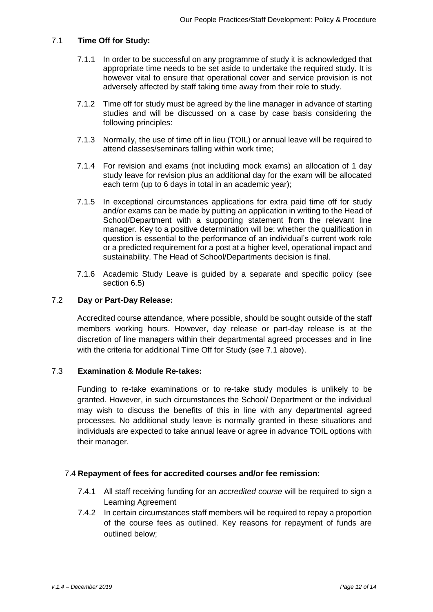#### 7.1 **Time Off for Study:**

- 7.1.1 In order to be successful on any programme of study it is acknowledged that appropriate time needs to be set aside to undertake the required study. It is however vital to ensure that operational cover and service provision is not adversely affected by staff taking time away from their role to study.
- 7.1.2 Time off for study must be agreed by the line manager in advance of starting studies and will be discussed on a case by case basis considering the following principles:
- 7.1.3 Normally, the use of time off in lieu (TOIL) or annual leave will be required to attend classes/seminars falling within work time;
- 7.1.4 For revision and exams (not including mock exams) an allocation of 1 day study leave for revision plus an additional day for the exam will be allocated each term (up to 6 days in total in an academic year);
- 7.1.5 In exceptional circumstances applications for extra paid time off for study and/or exams can be made by putting an application in writing to the Head of School/Department with a supporting statement from the relevant line manager. Key to a positive determination will be: whether the qualification in question is essential to the performance of an individual's current work role or a predicted requirement for a post at a higher level, operational impact and sustainability. The Head of School/Departments decision is final.
- 7.1.6 Academic Study Leave is guided by a separate and specific policy (see section 6.5)

#### 7.2 **Day or Part-Day Release:**

Accredited course attendance, where possible, should be sought outside of the staff members working hours. However, day release or part-day release is at the discretion of line managers within their departmental agreed processes and in line with the criteria for additional Time Off for Study (see 7.1 above).

### 7.3 **Examination & Module Re-takes:**

Funding to re-take examinations or to re-take study modules is unlikely to be granted. However, in such circumstances the School/ Department or the individual may wish to discuss the benefits of this in line with any departmental agreed processes. No additional study leave is normally granted in these situations and individuals are expected to take annual leave or agree in advance TOIL options with their manager.

#### 7.4 **Repayment of fees for accredited courses and/or fee remission:**

- 7.4.1 All staff receiving funding for an *accredited course* will be required to sign a Learning Agreement
- 7.4.2 In certain circumstances staff members will be required to repay a proportion of the course fees as outlined. Key reasons for repayment of funds are outlined below;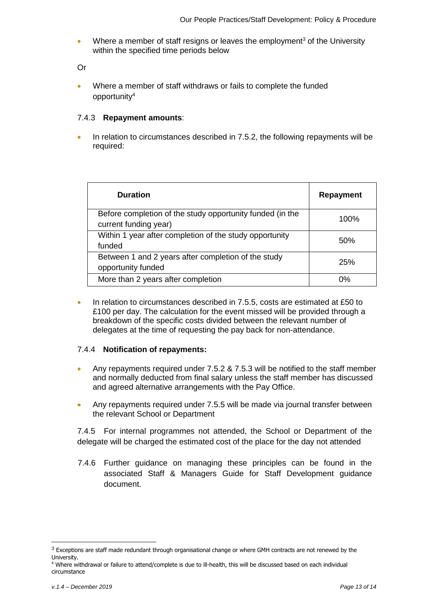Where a member of staff resigns or leaves the employment<sup>3</sup> of the University within the specified time periods below

Or

 Where a member of staff withdraws or fails to complete the funded opportunity<sup>4</sup>

#### 7.4.3 **Repayment amounts**:

 In relation to circumstances described in 7.5.2, the following repayments will be required:

| <b>Duration</b>                                                                    | <b>Repayment</b> |
|------------------------------------------------------------------------------------|------------------|
| Before completion of the study opportunity funded (in the<br>current funding year) | 100%             |
| Within 1 year after completion of the study opportunity<br>funded                  | 50%              |
| Between 1 and 2 years after completion of the study<br>opportunity funded          | 25%              |
| More than 2 years after completion                                                 | 0%               |

In relation to circumstances described in 7.5.5, costs are estimated at £50 to £100 per day. The calculation for the event missed will be provided through a breakdown of the specific costs divided between the relevant number of delegates at the time of requesting the pay back for non-attendance.

### 7.4.4 **Notification of repayments:**

- Any repayments required under 7.5.2 & 7.5.3 will be notified to the staff member and normally deducted from final salary unless the staff member has discussed and agreed alternative arrangements with the Pay Office.
- Any repayments required under 7.5.5 will be made via journal transfer between the relevant School or Department

7.4.5 For internal programmes not attended, the School or Department of the delegate will be charged the estimated cost of the place for the day not attended

7.4.6 Further guidance on managing these principles can be found in the associated Staff & Managers Guide for Staff Development guidance document.

 $3$  Exceptions are staff made redundant through organisational change or where GMH contracts are not renewed by the University.

<sup>&</sup>lt;sup>4</sup> Where withdrawal or failure to attend/complete is due to ill-health, this will be discussed based on each individual circumstance